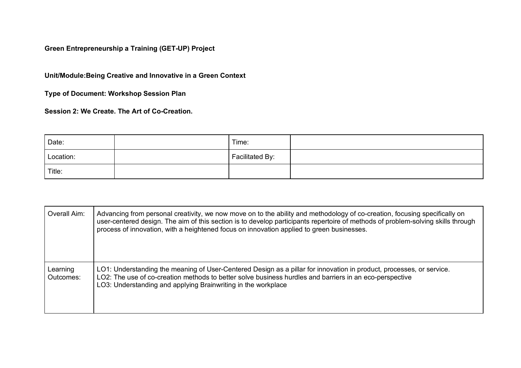**Green Entrepreneurship a Training (GET-UP) Project**

**Unit/Module:Being Creative and Innovative in a Green Context**

**Type of Document: Workshop Session Plan**

**Session 2: We Create. The Art of Co-Creation.**

| Date:     | Time:           |  |
|-----------|-----------------|--|
| Location: | Facilitated By: |  |
| Title:    |                 |  |

| Overall Aim:          | Advancing from personal creativity, we now move on to the ability and methodology of co-creation, focusing specifically on<br>user-centered design. The aim of this section is to develop participants repertoire of methods of problem-solving skills through<br>process of innovation, with a heightened focus on innovation applied to green businesses. |
|-----------------------|-------------------------------------------------------------------------------------------------------------------------------------------------------------------------------------------------------------------------------------------------------------------------------------------------------------------------------------------------------------|
| Learning<br>Outcomes: | LO1: Understanding the meaning of User-Centered Design as a pillar for innovation in product, processes, or service.<br>LO2: The use of co-creation methods to better solve business hurdles and barriers in an eco-perspective<br>LO3: Understanding and applying Brainwriting in the workplace                                                            |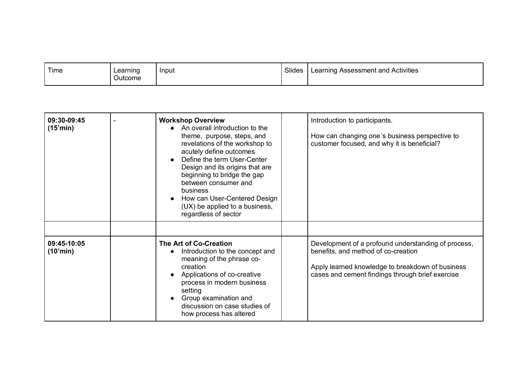| Time | Learning<br>Outcome | Input | Slides | l Assessment and Activities<br>∟earning ′ |
|------|---------------------|-------|--------|-------------------------------------------|
|      |                     |       |        |                                           |

| 09:30-09:45<br>(15'min) | <b>Workshop Overview</b><br>• An overall introduction to the<br>theme, purpose, steps, and<br>revelations of the workshop to<br>acutely define outcomes<br>Define the term User-Center<br>Design and its origins that are<br>beginning to bridge the gap<br>between consumer and<br>business<br>How can User-Centered Design<br>(UX) be applied to a business,<br>regardless of sector | Introduction to participants.<br>How can changing one's business perspective to<br>customer focused, and why it is beneficial?                                                                     |
|-------------------------|----------------------------------------------------------------------------------------------------------------------------------------------------------------------------------------------------------------------------------------------------------------------------------------------------------------------------------------------------------------------------------------|----------------------------------------------------------------------------------------------------------------------------------------------------------------------------------------------------|
| 09:45-10:05<br>(10'min) | The Art of Co-Creation<br>Introduction to the concept and<br>$\bullet$<br>meaning of the phrase co-<br>creation<br>Applications of co-creative<br>process in modern business<br>setting<br>Group examination and<br>discussion on case studies of<br>how process has altered                                                                                                           | Development of a profound understanding of process,<br>benefits, and method of co-creation<br>Apply learned knowledge to breakdown of business<br>cases and cement findings through brief exercise |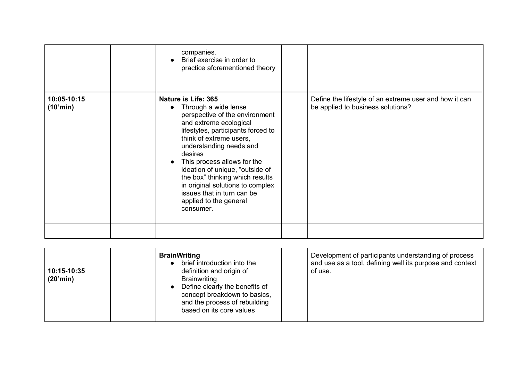|                         | companies.<br>Brief exercise in order to<br>practice aforementioned theory                                                                                                                                                                                                                                                                                                                                                   |                                                                                             |
|-------------------------|------------------------------------------------------------------------------------------------------------------------------------------------------------------------------------------------------------------------------------------------------------------------------------------------------------------------------------------------------------------------------------------------------------------------------|---------------------------------------------------------------------------------------------|
| 10:05-10:15<br>(10'min) | Nature is Life: 365<br>Through a wide lense<br>perspective of the environment<br>and extreme ecological<br>lifestyles, participants forced to<br>think of extreme users,<br>understanding needs and<br>desires<br>This process allows for the<br>ideation of unique, "outside of<br>the box" thinking which results<br>in original solutions to complex<br>issues that in turn can be<br>applied to the general<br>consumer. | Define the lifestyle of an extreme user and how it can<br>be applied to business solutions? |
|                         |                                                                                                                                                                                                                                                                                                                                                                                                                              |                                                                                             |

| 10:15-10:35<br>(20'min) | <b>BrainWriting</b><br>brief introduction into the<br>definition and origin of<br><b>Brainwriting</b><br>Define clearly the benefits of<br>concept breakdown to basics,<br>and the process of rebuilding<br>based on its core values | Development of participants understanding of process<br>and use as a tool, defining well its purpose and context<br>of use. |
|-------------------------|--------------------------------------------------------------------------------------------------------------------------------------------------------------------------------------------------------------------------------------|-----------------------------------------------------------------------------------------------------------------------------|
|-------------------------|--------------------------------------------------------------------------------------------------------------------------------------------------------------------------------------------------------------------------------------|-----------------------------------------------------------------------------------------------------------------------------|